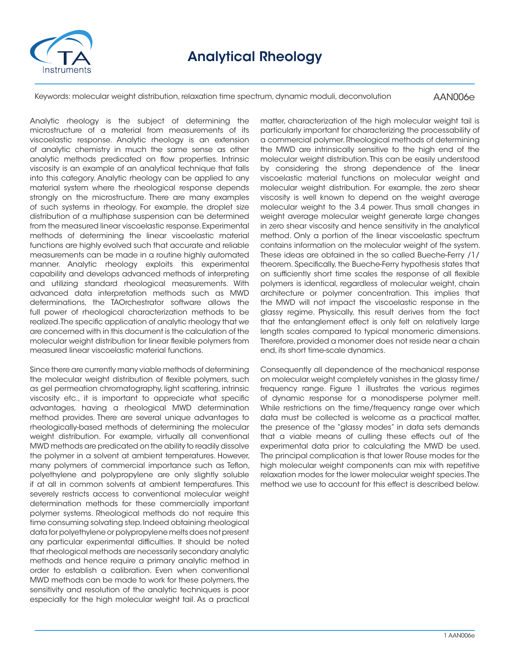

Keywords: molecular weight distribution, relaxation time spectrum, dynamic moduli, deconvolution

AAN006e

Analytic rheology is the subject of determining the microstructure of a material from measurements of its viscoelastic response. Analytic rheology is an extension of analytic chemistry in much the same sense as other analytic methods predicated on flow properties. Intrinsic viscosity is an example of an analytical technique that falls into this category. Analytic rheology can be applied to any material system where the rheological response depends strongly on the microstructure. There are many examples of such systems in rheology. For example, the droplet size distribution of a multiphase suspension can be determined from the measured linear viscoelastic response. Experimental methods of determining the linear viscoelastic material functions are highly evolved such that accurate and reliable measurements can be made in a routine highly automated manner. Analytic rheology exploits this experimental capability and develops advanced methods of interpreting and utilizing standard rheological measurements. With advanced data interpretation methods such as MWD determinations, the TAOrchestrator software allows the full power of rheological characterization methods to be realized. The specific application of analytic rheology that we are concerned with in this document is the calculation of the molecular weight distribution for linear flexible polymers from measured linear viscoelastic material functions.

Since there are currently many viable methods of determining the molecular weight distribution of flexible polymers, such as gel permeation chromatography, light scattering, intrinsic viscosity etc., it is important to appreciate what specific advantages, having a rheological MWD determination method provides. There are several unique advantages to rheologically-based methods of determining the molecular weight distribution. For example, virtually all conventional MWD methods are predicated on the ability to readily dissolve the polymer in a solvent at ambient temperatures. However, many polymers of commercial importance such as Teflon, polyethylene and polypropylene are only slightly soluble if at all in common solvents at ambient temperatures. This severely restricts access to conventional molecular weight determination methods for these commercially important polymer systems. Rheological methods do not require this time consuming solvating step. Indeed obtaining rheological data for polyethylene or polypropylene melts does not present any particular experimental difficulties. It should be noted that rheological methods are necessarily secondary analytic methods and hence require a primary analytic method in order to establish a calibration. Even when conventional MWD methods can be made to work for these polymers, the sensitivity and resolution of the analytic techniques is poor especially for the high molecular weight tail. As a practical

matter, characterization of the high molecular weight tail is particularly important for characterizing the processability of a commercial polymer. Rheological methods of determining the MWD are intrinsically sensitive to the high end of the molecular weight distribution. This can be easily understood by considering the strong dependence of the linear viscoelastic material functions on molecular weight and molecular weight distribution. For example, the zero shear viscosity is well known to depend on the weight average molecular weight to the 3.4 power. Thus small changes in weight average molecular weight generate large changes in zero shear viscosity and hence sensitivity in the analytical method. Only a portion of the linear viscoelastic spectrum contains information on the molecular weight of the system. These ideas are obtained in the so called Bueche-Ferry /1/ theorem. Specifically, the Bueche-Ferry hypothesis states that on sufficiently short time scales the response of all flexible polymers is identical, regardless of molecular weight, chain architecture or polymer concentration. This implies that the MWD will not impact the viscoelastic response in the glassy regime. Physically, this result derives from the fact that the entanglement effect is only felt on relatively large length scales compared to typical monomeric dimensions. Therefore, provided a monomer does not reside near a chain end, its short time-scale dynamics.

Consequently all dependence of the mechanical response on molecular weight completely vanishes in the glassy time/ frequency range. Figure 1 illustrates the various regimes of dynamic response for a monodisperse polymer melt. While restrictions on the time/frequency range over which data must be collected is welcome as a practical matter, the presence of the "glassy modes" in data sets demands that a viable means of culling these effects out of the experimental data prior to calculating the MWD be used. The principal complication is that lower Rouse modes for the high molecular weight components can mix with repetitive relaxation modes for the lower molecular weight species. The method we use to account for this effect is described below.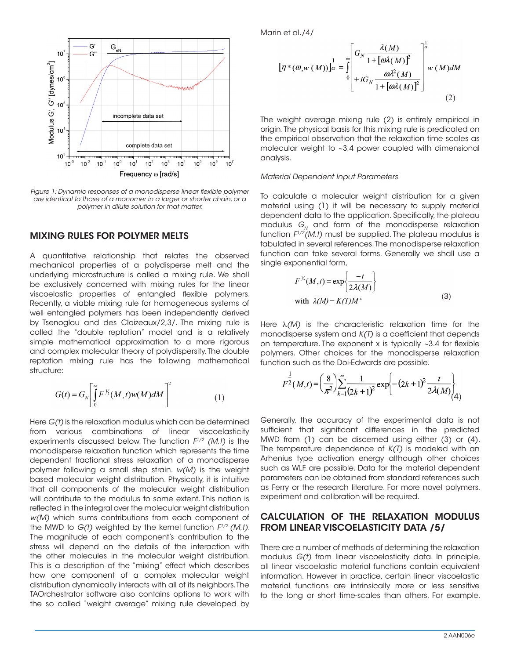

*Figure 1: Dynamic responses of a monodisperse linear flexible polymer are identical to those of a monomer in a larger or shorter chain, or a polymer in dilute solution for that matter.*

#### MIXING RULES FOR POLYMER MELTS

A quantitative relationship that relates the observed mechanical properties of a polydisperse melt and the underlying microstructure is called a mixing rule. We shall be exclusively concerned with mixing rules for the linear viscoelastic properties of entangled flexible polymers. Recently, a viable mixing rule for homogeneous systems of well entangled polymers has been independently derived by Tsenoglou and des Cloizeaux/2,3/. The mixing rule is called the "double reptation" model and is a relatively simple mathematical approximation to a more rigorous and complex molecular theory of polydispersity. The double reptation mixing rule has the following mathematical structure:

$$
G(t) = G_N \left[ \int_0^\infty F^{V_2}(M,t) w(M) dM \right]^2 \tag{1}
$$

Here *G(t)* is the relaxation modulus which can be determined from various combinations of linear viscoelasticity experiments discussed below. The function *F1/2 (M,t)* is the monodisperse relaxation function which represents the time dependent fractional stress relaxation of a monodisperse polymer following a small step strain. *w(M)* is the weight based molecular weight distribution. Physically, it is intuitive that all components of the molecular weight distribution will contribute to the modulus to some extent. This notion is reflected in the integral over the molecular weight distribution *w(M)* which sums contributions from each component of the MWD to *G(t)* weighted by the kernel function *F1/2 (M,t)*. The magnitude of each component's contribution to the stress will depend on the details of the interaction with the other molecules in the molecular weight distribution. This is a description of the "mixing" effect which describes how one component of a complex molecular weight distribution dynamically interacts with all of its neighbors. The TAOrchestrator software also contains options to work with the so called "weight average" mixing rule developed by

Marin et al./4/

$$
\left[\eta^*(\omega, w(M))\right]_a^{\frac{1}{2}} = \int_0^{\infty} \left[ G_N \frac{\lambda(M)}{1 + [\omega \lambda(M)]^2} \right]_a^{\frac{1}{\omega}} w(M) dM
$$
  
+  $iG_N \frac{\omega \lambda^2(M)}{1 + [\omega \lambda(M)]^2}$  (2)

The weight average mixing rule (2) is entirely empirical in origin. The physical basis for this mixing rule is predicated on the empirical observation that the relaxation time scales as molecular weight to ~3,4 power coupled with dimensional analysis.

#### *Material Dependent Input Parameters*

To calculate a molecular weight distribution for a given material using (1) it will be necessary to supply material dependent data to the application. Specifically, the plateau modulus  $G_N$  and form of the monodisperse relaxation function  $F^{1/2}(M,t)$  must be supplied. The plateau modulus is tabulated in several references. The monodisperse relaxation function can take several forms. Generally we shall use a single exponential form,

$$
F^{\frac{1}{2}}(M,t) = \exp\left\{\frac{-t}{2\lambda(M)}\right\}
$$
  
with  $\lambda(M) = K(T)M^{x}$  (3)

Here λ*(M)* is the characteristic relaxation time for the monodisperse system and *K(T)* is a coefficient that depends on temperature. The exponent x is typically ~3.4 for flexible polymers. Other choices for the monodisperse relaxation function such as the Doi-Edwards are possible.

$$
F^{\frac{1}{2}}(M,t) = \left(\frac{8}{\pi^2}\right) \sum_{k=1}^{\infty} \frac{1}{(2k+1)^2} \exp\left\{-\left(2k+1\right)^2 \frac{t}{2\lambda(M)}\right\}
$$

Generally, the accuracy of the experimental data is not sufficient that significant differences in the predicted MWD from (1) can be discerned using either (3) or (4). The temperature dependence of *K(T)* is modeled with an Arhenius type activation energy although other choices such as WLF are possible. Data for the material dependent parameters can be obtained from standard references such as Ferry or the research literature. For more novel polymers, experiment and calibration will be required.

## CALCULATION OF THE RELAXATION MODULUS FROM LINEAR VISCOELASTICITY DATA /5/

There are a number of methods of determining the relaxation modulus *G(t)* from linear viscoelasticity data. In principle, all linear viscoelastic material functions contain equivalent information. However in practice, certain linear viscoelastic material functions are intrinsically more or less sensitive to the long or short time-scales than others. For example,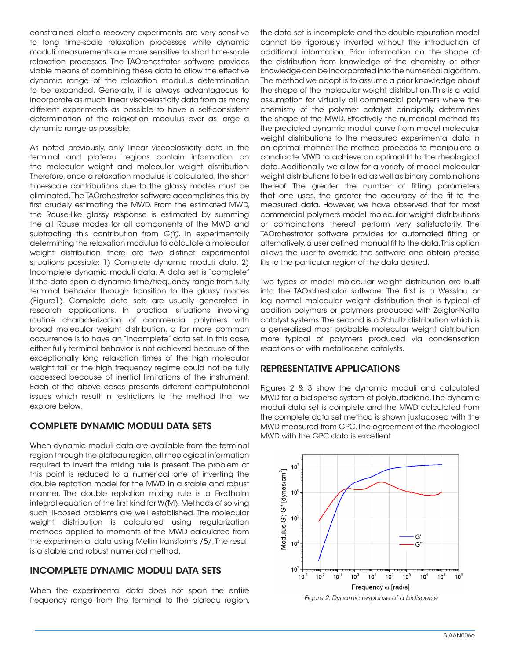constrained elastic recovery experiments are very sensitive to long time-scale relaxation processes while dynamic moduli measurements are more sensitive to short time-scale relaxation processes. The TAOrchestrator software provides viable means of combining these data to allow the effective dynamic range of the relaxation modulus determination to be expanded. Generally, it is always advantageous to incorporate as much linear viscoelasticity data from as many different experiments as possible to have a self-consistent determination of the relaxation modulus over as large a dynamic range as possible.

As noted previously, only linear viscoelasticity data in the terminal and plateau regions contain information on the molecular weight and molecular weight distribution. Therefore, once a relaxation modulus is calculated, the short time-scale contributions due to the glassy modes must be eliminated. The TAOrchestrator software accomplishes this by first crudely estimating the MWD. From the estimated MWD, the Rouse-like glassy response is estimated by summing the all Rouse modes for all components of the MWD and subtracting this contribution from *G(t)*. In experimentally determining the relaxation modulus to calculate a molecular weight distribution there are two distinct experimental situations possible: 1) Complete dynamic moduli data, 2) Incomplete dynamic moduli data. A data set is "complete" if the data span a dynamic time/frequency range from fully terminal behavior through transition to the glassy modes (Figure1). Complete data sets are usually generated in research applications. In practical situations involving routine characterization of commercial polymers with broad molecular weight distribution, a far more common occurrence is to have an "incomplete" data set. In this case, either fully terminal behavior is not achieved because of the exceptionally long relaxation times of the high molecular weight tail or the high frequency regime could not be fully accessed because of inertial limitations of the instrument. Each of the above cases presents different computational issues which result in restrictions to the method that we explore below.

## COMPLETE DYNAMIC MODULI DATA SETS

When dynamic moduli data are available from the terminal region through the plateau region, all rheological information required to invert the mixing rule is present. The problem at this point is reduced to a numerical one of inverting the double reptation model for the MWD in a stable and robust manner. The double reptation mixing rule is a Fredholm integral equation of the first kind for W(M). Methods of solving such ill-posed problems are well established. The molecular weight distribution is calculated using regularization methods applied to moments of the MWD calculated from the experimental data using Mellin transforms /5/. The result is a stable and robust numerical method.

## INCOMPLETE DYNAMIC MODULI DATA SETS

When the experimental data does not span the entire frequency range from the terminal to the plateau region, the data set is incomplete and the double reputation model cannot be rigorously inverted without the introduction of additional information. Prior information on the shape of the distribution from knowledge of the chemistry or other knowledge can be incorporated into the numerical algorithm. The method we adopt is to assume a prior knowledge about the shape of the molecular weight distribution. This is a valid assumption for virtually all commercial polymers where the chemistry of the polymer catalyst principally determines the shape of the MWD. Effectively the numerical method fits the predicted dynamic moduli curve from model molecular weight distributions to the measured experimental data in an optimal manner. The method proceeds to manipulate a candidate MWD to achieve an optimal fit to the rheological data. Additionally we allow for a variety of model molecular weight distributions to be tried as well as binary combinations thereof. The greater the number of fitting parameters that one uses, the greater the accuracy of the fit to the measured data. However, we have observed that for most commercial polymers model molecular weight distributions or combinations thereof perform very satisfactorily. The TAOrchestrator software provides for automated fitting or alternatively, a user defined manual fit to the data. This option allows the user to override the software and obtain precise fits to the particular region of the data desired.

Two types of model molecular weight distribution are built into the TAOrchestrator software. The first is a Wesslau or log normal molecular weight distribution that is typical of addition polymers or polymers produced with Zeigler-Natta catalyst systems. The second is a Schultz distribution which is a generalized most probable molecular weight distribution more typical of polymers produced via condensation reactions or with metallocene catalysts.

# REPRESENTATIVE APPLICATIONS

Figures 2 & 3 show the dynamic moduli and calculated MWD for a bidisperse system of polybutadiene. The dynamic moduli data set is complete and the MWD calculated from the complete data set method is shown juxtaposed with the MWD measured from GPC. The agreement of the rheological MWD with the GPC data is excellent.